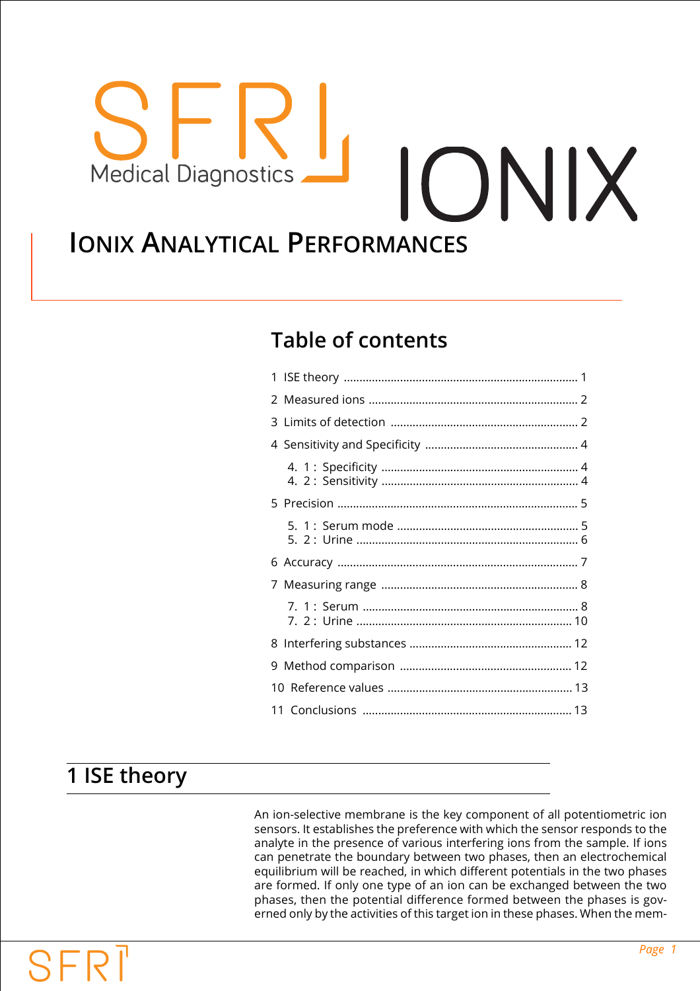# ONIX **Medical Diagnostics IONIX ANALYTICAL PERFORMANCES**

# **Table of contents**

# <span id="page-0-0"></span>**1 ISE theory**

An ion-selective membrane is the key component of all potentiometric ion sensors. It establishes the preference with which the sensor responds to the analyte in the presence of various interfering ions from the sample. If ions can penetrate the boundary between two phases, then an electrochemical equilibrium will be reached, in which different potentials in the two phases are formed. If only one type of an ion can be exchanged between the two phases, then the potential difference formed between the phases is governed only by the activities of this target ion in these phases. When the mem-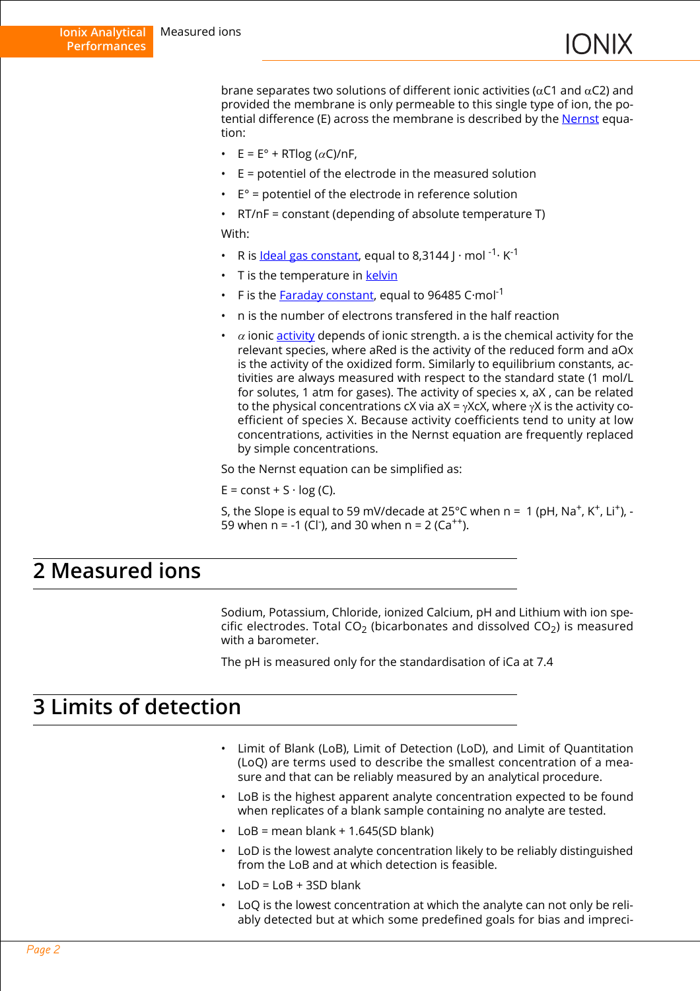brane separates two solutions of different ionic activities ( $\alpha$ C1 and  $\alpha$ C2) and provided the membrane is only permeable to this single type of ion, the potential difference (E) across the membrane is described by the [Nernst](https://en.wikipedia.org/wiki/Nernst_equation) equation:

- $E = E^{\circ} + RT \log (\alpha C)/nF$ .
- E = potentiel of the electrode in the measured solution
- $\cdot$  E° = potentiel of the electrode in reference solution
- RT/nF = constant (depending of absolute temperature T) With:
- R is [Ideal gas constant,](https://en.wikipedia.org/wiki/Gas_constant) equal to 8.3144 I  $\cdot$  mol <sup>-1</sup>  $\cdot$  K<sup>-1</sup>
- T is the temperature in [kelvin](https://en.wikipedia.org/wiki/Kelvin)
- F is the [Faraday constant,](https://en.wikipedia.org/wiki/Faraday_constant) equal to 96485 C·mol-1
- n is the number of electrons transfered in the half reaction
- $\alpha$  ionic [activity](https://en.wikipedia.org/wiki/Thermodynamic_activity) depends of ionic strength. a is the chemical activity for the relevant species, where aRed is the activity of the reduced form and aOx is the activity of the oxidized form. Similarly to equilibrium constants, activities are always measured with respect to the standard state (1 mol/L for solutes, 1 atm for gases). The activity of species x, aX , can be related to the physical concentrations cX via aX = γXcX, where γX is the activity coefficient of species X. Because activity coefficients tend to unity at low concentrations, activities in the Nernst equation are frequently replaced by simple concentrations.

So the Nernst equation can be simplified as:

 $E = const + S \cdot log(C)$ .

S, the Slope is equal to 59 mV/decade at 25°C when  $n = 1$  (pH,  $Na^{+}$ , K<sup>+</sup>, Li<sup>+</sup>), -59 when  $n = -1$  (Cl<sup>-</sup>), and 30 when  $n = 2$  (Ca<sup>++</sup>).

### <span id="page-1-0"></span>**2 Measured ions**

Sodium, Potassium, Chloride, ionized Calcium, pH and Lithium with ion specific electrodes. Total CO<sub>2</sub> (bicarbonates and dissolved CO<sub>2</sub>) is measured with a barometer.

The pH is measured only for the standardisation of iCa at 7.4

### <span id="page-1-1"></span>**3 Limits of detection**

- Limit of Blank (LoB), Limit of Detection (LoD), and Limit of Quantitation (LoQ) are terms used to describe the smallest concentration of a measure and that can be reliably measured by an analytical procedure.
- LoB is the highest apparent analyte concentration expected to be found when replicates of a blank sample containing no analyte are tested.
- $LoB = mean blank + 1.645(SD blank)$
- LoD is the lowest analyte concentration likely to be reliably distinguished from the LoB and at which detection is feasible.
- $I_0D = I_0B + 3SD$  blank
- LoQ is the lowest concentration at which the analyte can not only be reliably detected but at which some predefined goals for bias and impreci-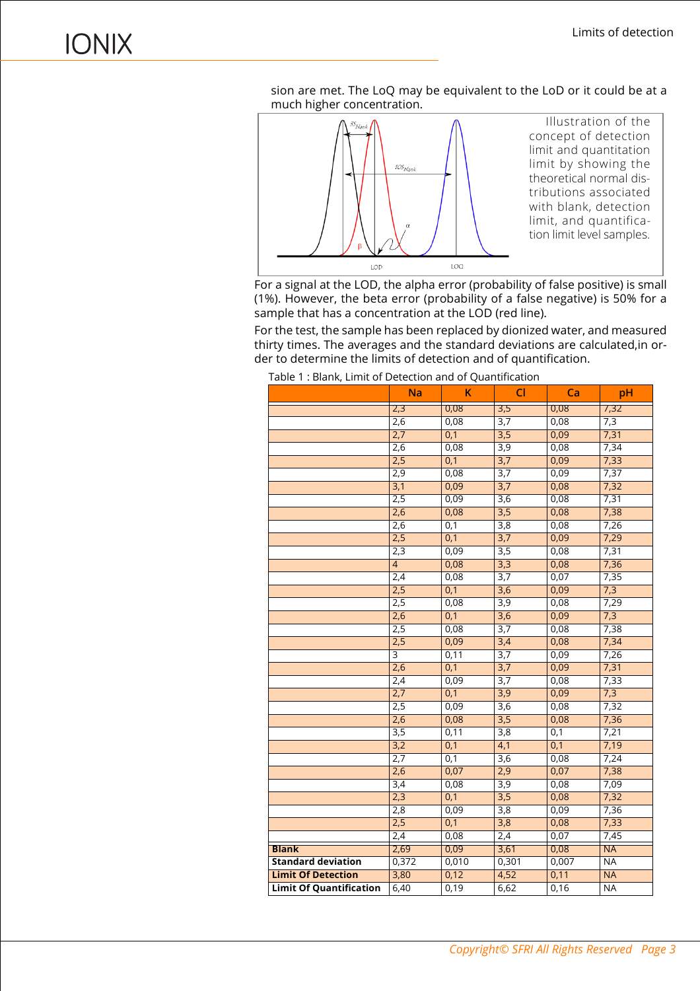sion are met. The LoQ may be equivalent to the LoD or it could be at a much higher concentration.



For a signal at the LOD, the alpha error (probability of false positive) is small (1%). However, the beta error (probability of a false negative) is 50% for a sample that has a concentration at the LOD (red line).

For the test, the sample has been replaced by dionized water, and measured thirty times. The averages and the standard deviations are calculated,in order to determine the limits of detection and of quantification.

|                                | <b>Na</b>      | K                | C1               | Ca    | pH        |
|--------------------------------|----------------|------------------|------------------|-------|-----------|
|                                | 2,3            | 0,08             | 3,5              | 0,08  | 7,32      |
|                                | 2,6            | 0,08             | 3,7              | 0,08  | 7,3       |
|                                | 2,7            | 0,1              | 3,5              | 0,09  | 7,31      |
|                                | 2,6            | 0,08             | 3,9              | 0,08  | 7,34      |
|                                | 2,5            | 0,1              | 3,7              | 0,09  | 7,33      |
|                                | 2,9            | 0,08             | 3,7              | 0,09  | 7,37      |
|                                | 3,1            | 0,09             | 3,7              | 0,08  | 7,32      |
|                                | 2,5            | 0,09             | 3,6              | 0,08  | 7,31      |
|                                | 2,6            | 0,08             | 3,5              | 0,08  | 7,38      |
|                                | 2,6            | 0,1              | 3,8              | 0,08  | 7,26      |
|                                | 2,5            | 0,1              | 3,7              | 0,09  | 7,29      |
|                                | 2,3            | 0,09             | 3,5              | 0,08  | 7,31      |
|                                | $\overline{4}$ | 0,08             | 3,3              | 0,08  | 7,36      |
|                                | 2,4            | 0,08             | 3,7              | 0,07  | 7,35      |
|                                | 2,5            | 0,1              | $\overline{3,6}$ | 0,09  | 7,3       |
|                                | 2,5            | 0,08             | 3,9              | 0,08  | 7,29      |
|                                | 2,6            | 0,1              | 3,6              | 0,09  | 7,3       |
|                                | 2,5            | 0,08             | 3,7              | 0,08  | 7,38      |
|                                | 2,5            | 0,09             | 3,4              | 0,08  | 7,34      |
|                                | $\overline{3}$ | 0,11             | 3,7              | 0,09  | 7,26      |
|                                | 2,6            | 0,1              | 3,7              | 0,09  | 7,31      |
|                                | 2,4            | 0,09             | 3,7              | 0,08  | 7,33      |
|                                | 2,7            | 0,1              | 3,9              | 0,09  | 7,3       |
|                                | 2,5            | 0,09             | $\overline{3,6}$ | 0,08  | 7,32      |
|                                | 2,6            | 0,08             | 3,5              | 0,08  | 7,36      |
|                                | 3,5            | 0,11             | 3,8              | 0,1   | 7,21      |
|                                | 3,2            | 0,1              | 4,1              | 0,1   | 7,19      |
|                                | 2,7            | 0,1              | 3,6              | 0,08  | 7,24      |
|                                | 2,6            | 0,07             | 2,9              | 0,07  | 7,38      |
|                                | 3,4            | 0,08             | 3,9              | 0,08  | 7,09      |
|                                | 2,3            | $\overline{0,1}$ | 3,5              | 0,08  | 7,32      |
|                                | 2,8            | 0,09             | 3,8              | 0,09  | 7,36      |
|                                | 2,5            | 0,1              | 3,8              | 0,08  | 7,33      |
|                                | 2,4            | 0,08             | 2,4              | 0,07  | 7,45      |
| <b>Blank</b>                   | 2,69           | 0,09             | 3,61             | 0,08  | <b>NA</b> |
| <b>Standard deviation</b>      | 0,372          | 0,010            | 0,301            | 0,007 | <b>NA</b> |
| <b>Limit Of Detection</b>      | 3,80           | 0,12             | 4,52             | 0,11  | <b>NA</b> |
| <b>Limit Of Quantification</b> | 6,40           | 0,19             | 6,62             | 0,16  | <b>NA</b> |

Table 1 : Blank, Limit of Detection and of Quantification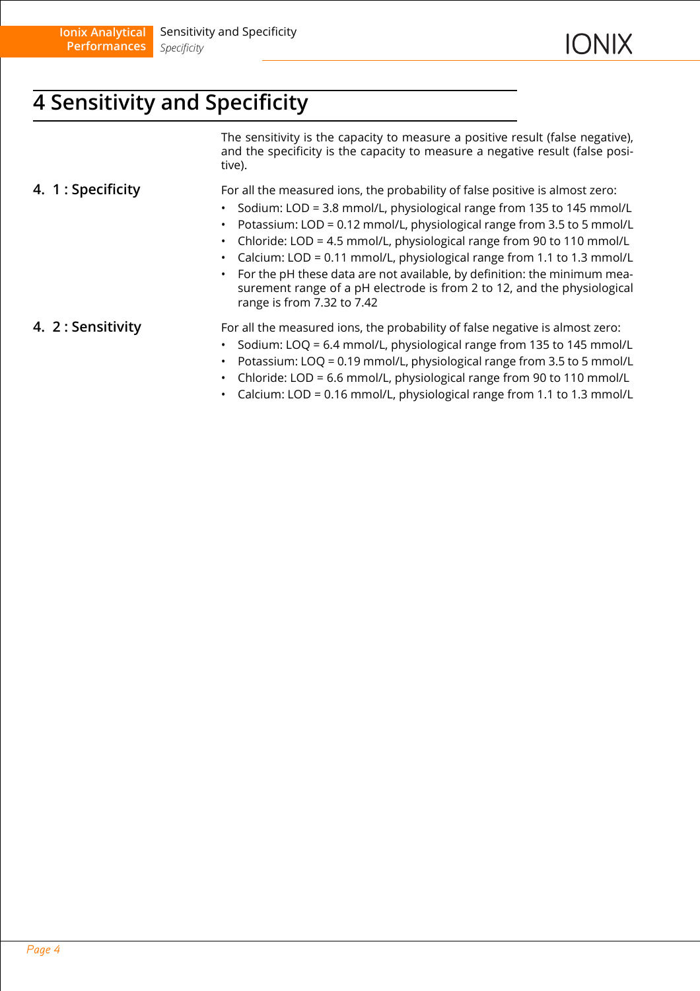# <span id="page-3-0"></span>**4 Sensitivity and Specificity**

The sensitivity is the capacity to measure a positive result (false negative), and the specificity is the capacity to measure a negative result (false positive).

<span id="page-3-1"></span>**4. 1 : Specificity** For all the measured ions, the probability of false positive is almost zero:

- Sodium: LOD = 3.8 mmol/L, physiological range from 135 to 145 mmol/L
- Potassium: LOD = 0.12 mmol/L, physiological range from 3.5 to 5 mmol/L
- Chloride: LOD = 4.5 mmol/L, physiological range from 90 to 110 mmol/L
- Calcium: LOD = 0.11 mmol/L, physiological range from 1.1 to 1.3 mmol/L
- For the pH these data are not available, by definition: the minimum measurement range of a pH electrode is from 2 to 12, and the physiological range is from 7.32 to 7.42

<span id="page-3-2"></span>**4. 2 : Sensitivity** For all the measured ions, the probability of false negative is almost zero:

- Sodium: LOQ = 6.4 mmol/L, physiological range from 135 to 145 mmol/L
- Potassium: LOQ = 0.19 mmol/L, physiological range from 3.5 to 5 mmol/L
- Chloride: LOD = 6.6 mmol/L, physiological range from 90 to 110 mmol/L
- Calcium: LOD = 0.16 mmol/L, physiological range from 1.1 to 1.3 mmol/L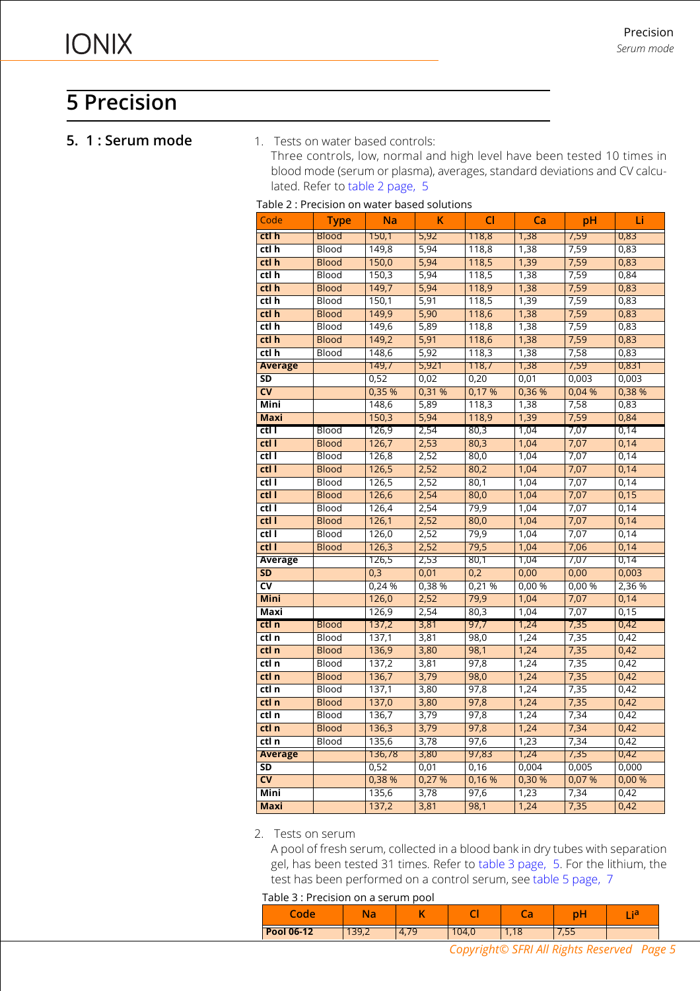# <span id="page-4-0"></span>**5 Precision**

#### <span id="page-4-1"></span>**5. 1 : Serum mode** 1. Tests on water based controls:

Three controls, low, normal and high level have been tested 10 times in blood mode (serum or plasma), averages, standard deviations and CV calculated. Refer to [table 2 page, 5](#page-4-2)

<span id="page-4-2"></span>

| Table 2 : Precision on water based solutions |
|----------------------------------------------|
|----------------------------------------------|

| Code                     | <b>Type</b>  | Na             | K             | CI    | Ca              | рH              | Li     |
|--------------------------|--------------|----------------|---------------|-------|-----------------|-----------------|--------|
| ctl h                    | <b>Blood</b> | 150,1          | 5,92          | 118,8 | 1,38            | 7,59            | 0,83   |
| ctl h                    | Blood        | 149,8          | 5,94          | 118,8 | 1,38            | 7,59            | 0,83   |
| ctl h                    | <b>Blood</b> | 150,0          | 5,94          | 118,5 | 1,39            | 7,59            | 0,83   |
| $ctl$ h                  | Blood        | 150,3          | 5,94          | 118,5 | 1,38            | 7,59            | 0,84   |
| ctl h                    | <b>Blood</b> | 149,7          | 5,94          | 118,9 | 1,38            | 7,59            | 0,83   |
| ctl h                    | Blood        | 150,1          | 5,91          | 118,5 | 1,39            | 7,59            | 0,83   |
| ctl h                    | <b>Blood</b> | 149,9          | 5,90          | 118,6 | 1,38            | 7,59            | 0,83   |
| $ctl$ h                  | Blood        | 149,6          | 5,89          | 118,8 | 1,38            | 7,59            | 0,83   |
| ctl h                    | <b>Blood</b> | 149,2          | 5,91          | 118,6 | 1,38            | 7,59            | 0,83   |
| ctl h                    | Blood        | 148,6          | 5,92          | 118,3 | 1,38            | 7,58            | 0,83   |
| <b>Average</b>           |              | 149,7          | 5,921         | 118,7 | 1,38            | 7,59            | 0,831  |
| SD                       |              | 0,52           | 0,02          | 0,20  | 0,01            | 0,003           | 0,003  |
| $\overline{\mathsf{cv}}$ |              | 0,35 %         | 0,31 %        | 0,17% | 0,36 %          | 0,04 %          | 0,38 % |
| Mini                     |              | 148,6          | 5,89          | 118,3 | 1,38            | 7,58            | 0,83   |
| Maxi                     |              | 150,3          | 5,94          | 118,9 | 1,39            | 7,59            | 0,84   |
| ctl I                    | Blood        | 126,9          | 2,54          | 80,3  | 1,04            | 7,07            | 0,14   |
| ctl I                    | <b>Blood</b> | 126,7          | 2,53          | 80,3  | 1,04            | 7,07            | 0,14   |
| ctI                      | <b>Blood</b> | 126,8          | 2,52          | 80,0  | 1,04            | 7,07            | 0,14   |
| ctl l                    | <b>Blood</b> | 126,5          | 2,52          | 80,2  | 1,04            | 7,07            | 0,14   |
| ctl I                    | Blood        | 126,5          | 2,52          | 80,1  | 1,04            | 7,07            | 0,14   |
| ct1                      | <b>Blood</b> | 126,6          | 2,54          | 80,0  | 1,04            | 7,07            | 0,15   |
| ctl I                    | Blood        | 126,4          | 2,54          | 79,9  | 1,04            | 7,07            | 0,14   |
| ctl                      | <b>Blood</b> | 126,1          | 2,52          | 80,0  | 1,04            | 7,07            | 0,14   |
| ct1                      | <b>Blood</b> | 126,0          | 2,52          | 79,9  | 1,04            | 7,07            | 0,14   |
| ctl l                    | <b>Blood</b> | 126,3          | 2,52          | 79,5  | 1,04            | 7,06            | 0,14   |
| <b>Average</b>           |              | 126,5          | 2,53          | 80,1  | 1,04            | 7,07            | 0,14   |
| <b>SD</b>                |              | 0,3            | 0,01          | 0,2   | 0,00            | 0,00            | 0,003  |
| <b>CV</b>                |              | 0,24 %         | 0,38 %        | 0,21% | 0,00%           | 0,00%           | 2,36 % |
| <b>Mini</b>              |              | 126,0          | 2,52          | 79,9  | 1,04            | 7,07            | 0,14   |
| Maxi                     |              | 126,9          | 2,54          | 80,3  | 1,04            | 7,07            | 0,15   |
| ctl n                    | <b>Blood</b> | 137,2          | 3,81          | 97,7  | 1,24            | 7,35            | 0,42   |
| ctl n                    | Blood        | 137,1          | 3,81          | 98,0  | 1,24            | 7,35            | 0,42   |
| ctl n                    | <b>Blood</b> | 136,9          | 3,80          | 98,1  | 1,24            | 7,35            | 0,42   |
| ctl n                    | Blood        | 137,2          | 3,81          | 97,8  | 1,24            | 7,35            | 0,42   |
| ctl n                    | <b>Blood</b> | 136,7          | 3,79          | 98,0  | 1,24            | 7,35            | 0,42   |
| ctl n                    | <b>Blood</b> | 137,1          | 3,80          | 97,8  | 1,24            | 7,35            | 0,42   |
| ctl n                    | <b>Blood</b> | 137,0          | 3,80          | 97,8  | 1,24            | 7,35            | 0,42   |
| ctl n                    | Blood        | 136,7          | 3,79          | 97,8  | 1,24            | 7,34            | 0,42   |
| ctl n                    | <b>Blood</b> | 136,3          | 3,79          | 97,8  | 1,24            | 7,34            | 0,42   |
| ctl n                    | <b>Blood</b> | 135,6          | 3,78          | 97,6  | 1,23            | 7,34            | 0,42   |
| <b>Average</b>           |              | 136,78<br>0,52 | 3,80          | 97,83 | 1,24            | 7,35            | 0,42   |
| SD                       |              | 0,38 %         | 0,01<br>0,27% | 0,16  | 0,004<br>0,30 % | 0,005<br>0,07 % | 0,000  |
| <b>CV</b>                |              |                |               | 0,16% |                 |                 | 0,00%  |
| Mini                     |              | 135,6          | 3,78          | 97,6  | 1,23            | 7,34            | 0,42   |
| <b>Maxi</b>              |              | 137,2          | 3,81          | 98,1  | 1,24            | 7,35            | 0,42   |

2. Tests on serum

A pool of fresh serum, collected in a blood bank in dry tubes with separation gel, has been tested 31 times. Refer to [table 3 page, 5.](#page-4-3) For the lithium, the test has been performed on a control serum, see [table 5 page, 7](#page-6-1)

<span id="page-4-3"></span>Table 3 : Precision on a serum pool

| $\overline{\phantom{a}}$<br>de | Na.   |      |      |                | рF                   | ÷a<br>. . |
|--------------------------------|-------|------|------|----------------|----------------------|-----------|
| <b>Pool 06-12</b>              | 139,Z | T. 1 | 04.0 | $\blacksquare$ | $\sim$ $\sim$ $\sim$ |           |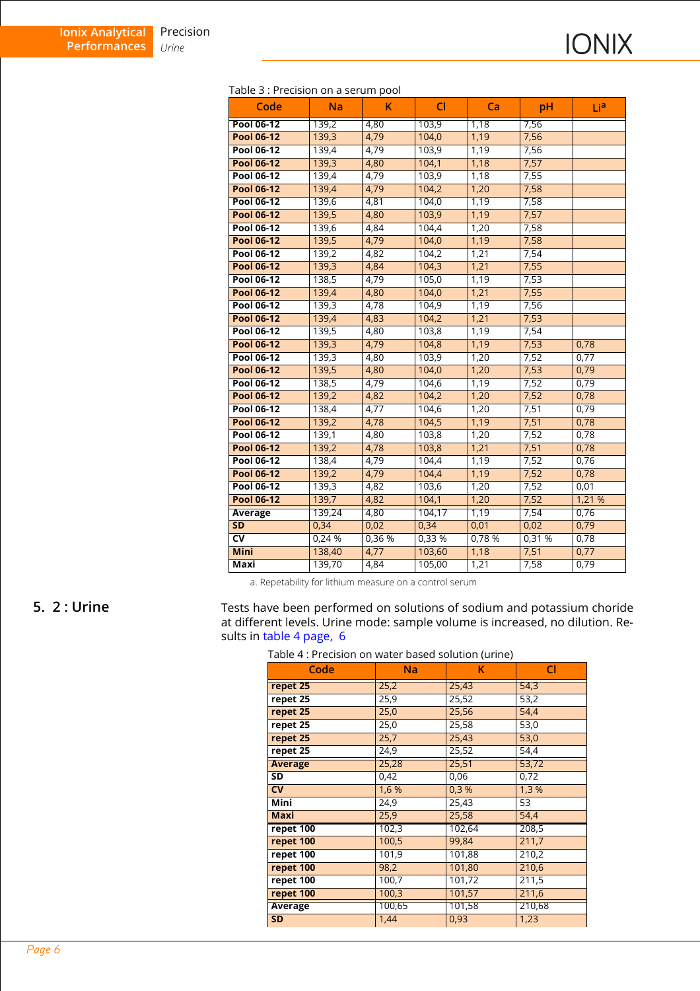|  |  | Table 3 : Precision on a serum pool |  |  |  |
|--|--|-------------------------------------|--|--|--|
|--|--|-------------------------------------|--|--|--|

| Code                   | <b>Na</b> | K      | <b>CI</b> | Ca    | pH     | Lia    |
|------------------------|-----------|--------|-----------|-------|--------|--------|
| Pool 06-12             | 139,2     | 4,80   | 103,9     | 1,18  | 7,56   |        |
| <b>Pool 06-12</b>      | 139,3     | 4,79   | 104,0     | 1,19  | 7,56   |        |
| <b>Pool 06-12</b>      | 139,4     | 4,79   | 103,9     | 1,19  | 7,56   |        |
| <b>Pool 06-12</b>      | 139,3     | 4,80   | 104,1     | 1,18  | 7,57   |        |
| Pool 06-12             | 139,4     | 4,79   | 103,9     | 1,18  | 7,55   |        |
| <b>Pool 06-12</b>      | 139,4     | 4,79   | 104,2     | 1,20  | 7,58   |        |
| <b>Pool 06-12</b>      | 139,6     | 4,81   | 104,0     | 1,19  | 7,58   |        |
| <b>Pool 06-12</b>      | 139,5     | 4,80   | 103,9     | 1,19  | 7,57   |        |
| <b>Pool 06-12</b>      | 139,6     | 4,84   | 104,4     | 1,20  | 7,58   |        |
| <b>Pool 06-12</b>      | 139,5     | 4,79   | 104,0     | 1,19  | 7,58   |        |
| Pool 06-12             | 139,2     | 4,82   | 104,2     | 1,21  | 7,54   |        |
| <b>Pool 06-12</b>      | 139,3     | 4,84   | 104,3     | 1,21  | 7,55   |        |
| Pool 06-12             | 138,5     | 4,79   | 105,0     | 1,19  | 7,53   |        |
| <b>Pool 06-12</b>      | 139,4     | 4,80   | 104,0     | 1,21  | 7,55   |        |
| <b>Pool 06-12</b>      | 139,3     | 4,78   | 104,9     | 1,19  | 7,56   |        |
| <b>Pool 06-12</b>      | 139,4     | 4,83   | 104,2     | 1,21  | 7,53   |        |
| Pool 06-12             | 139,5     | 4,80   | 103,8     | 1,19  | 7,54   |        |
| <b>Pool 06-12</b>      | 139,3     | 4,79   | 104,8     | 1,19  | 7,53   | 0,78   |
| Pool 06-12             | 139,3     | 4,80   | 103,9     | 1,20  | 7,52   | 0,77   |
| <b>Pool 06-12</b>      | 139,5     | 4,80   | 104,0     | 1,20  | 7,53   | 0,79   |
| Pool 06-12             | 138,5     | 4,79   | 104,6     | 1,19  | 7,52   | 0,79   |
| <b>Pool 06-12</b>      | 139,2     | 4,82   | 104,2     | 1,20  | 7,52   | 0,78   |
| Pool 06-12             | 138,4     | 4,77   | 104,6     | 1,20  | 7,51   | 0,79   |
| <b>Pool 06-12</b>      | 139,2     | 4,78   | 104,5     | 1,19  | 7,51   | 0,78   |
| Pool 06-12             | 139,1     | 4,80   | 103,8     | 1,20  | 7,52   | 0,78   |
| <b>Pool 06-12</b>      | 139,2     | 4,78   | 103,8     | 1,21  | 7,51   | 0,78   |
| <b>Pool 06-12</b>      | 138,4     | 4,79   | 104,4     | 1,19  | 7,52   | 0,76   |
| <b>Pool 06-12</b>      | 139,2     | 4,79   | 104,4     | 1,19  | 7,52   | 0,78   |
| Pool 06-12             | 139,3     | 4,82   | 103,6     | 1,20  | 7,52   | 0,01   |
| <b>Pool 06-12</b>      | 139,7     | 4,82   | 104,1     | 1,20  | 7,52   | 1,21 % |
| Average                | 139,24    | 4,80   | 104,17    | 1,19  | 7,54   | 0,76   |
| <b>SD</b>              | 0,34      | 0,02   | 0,34      | 0,01  | 0,02   | 0,79   |
| $\overline{\text{cv}}$ | 0,24%     | 0,36 % | 0,33 %    | 0,78% | 0,31 % | 0,78   |
| <b>Mini</b>            | 138,40    | 4,77   | 103,60    | 1,18  | 7,51   | 0,77   |
| Maxi                   | 139,70    | 4,84   | 105,00    | 1,21  | 7,58   | 0,79   |

a. Repetability for lithium measure on a control serum

<span id="page-5-0"></span>**5. 2 : Urine** Tests have been performed on solutions of sodium and potassium choride at different levels. Urine mode: sample volume is increased, no dilution. Results in [table 4 page, 6](#page-5-1)

#### <span id="page-5-1"></span>Table 4 : Precision on water based solution (urine)

| Code           | <b>Na</b> | κ      | <b>CI</b> |
|----------------|-----------|--------|-----------|
| repet 25       | 25,2      | 25,43  | 54,3      |
| repet 25       | 25,9      | 25,52  | 53,2      |
| repet 25       | 25,0      | 25,56  | 54,4      |
| repet 25       | 25,0      | 25,58  | 53,0      |
| repet 25       | 25,7      | 25,43  | 53,0      |
| repet 25       | 24,9      | 25,52  | 54,4      |
| <b>Average</b> | 25,28     | 25,51  | 53,72     |
| SD             | 0,42      | 0,06   | 0,72      |
| <b>CV</b>      | 1,6 %     | 0.3%   | 1,3%      |
| <b>Mini</b>    | 24,9      | 25,43  | 53        |
| Maxi           | 25,9      | 25,58  | 54,4      |
| repet 100      | 102,3     | 102,64 | 208,5     |
| repet 100      | 100,5     | 99,84  | 211,7     |
| repet 100      | 101,9     | 101,88 | 210,2     |
| repet 100      | 98,2      | 101,80 | 210,6     |
| repet 100      | 100,7     | 101,72 | 211,5     |
| repet 100      | 100,3     | 101,57 | 211,6     |
| <b>Average</b> | 100,65    | 101,58 | 210,68    |
| <b>SD</b>      | 1,44      | 0,93   | 1,23      |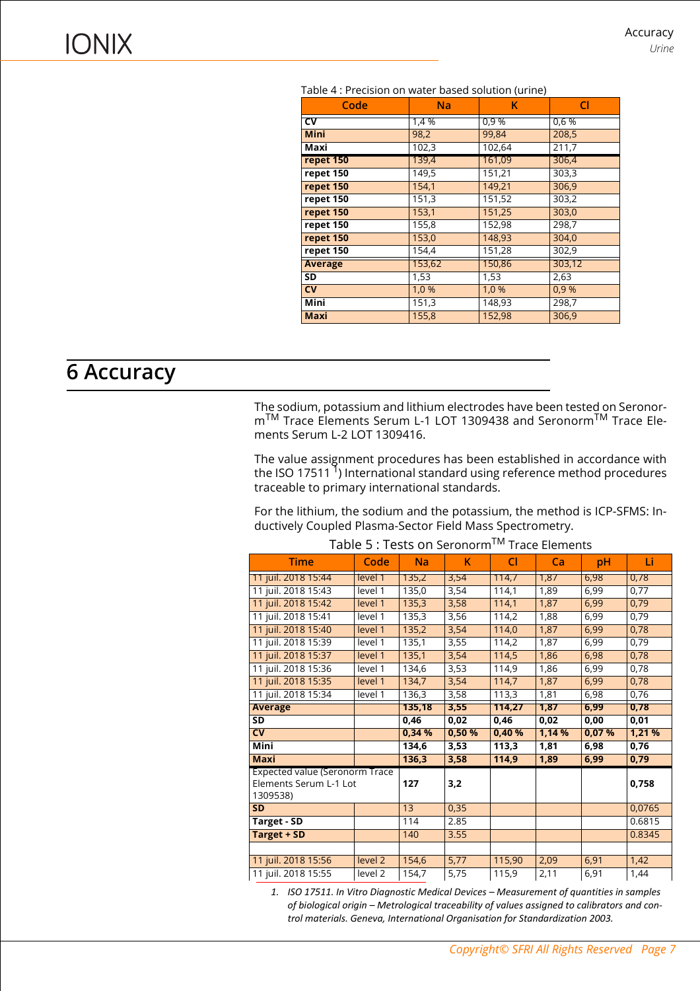| able 4 . Flecision on water based solution (unlie) |        |        |                    |  |  |  |  |  |
|----------------------------------------------------|--------|--------|--------------------|--|--|--|--|--|
| Code                                               | Na     | κ      | <b>CI</b>          |  |  |  |  |  |
| CV                                                 | 1,4 %  | 0,9 %  | 0,6 %              |  |  |  |  |  |
| <b>Mini</b>                                        | 98,2   | 99,84  | 208,5              |  |  |  |  |  |
| Maxi                                               | 102,3  | 102,64 | $\overline{211,7}$ |  |  |  |  |  |
| repet 150                                          | 139,4  | 161,09 | 306,4              |  |  |  |  |  |
| $repet$ 150                                        | 149,5  | 151,21 | 303,3              |  |  |  |  |  |
| repet 150                                          | 154,1  | 149,21 | 306,9              |  |  |  |  |  |
| repet 150                                          | 151,3  | 151,52 | 303,2              |  |  |  |  |  |
| repet 150                                          | 153,1  | 151,25 | 303,0              |  |  |  |  |  |
| repet 150                                          | 155,8  | 152,98 | 298,7              |  |  |  |  |  |
| repet 150                                          | 153,0  | 148,93 | 304,0              |  |  |  |  |  |
| repet 150                                          | 154,4  | 151,28 | 302,9              |  |  |  |  |  |
| <b>Average</b>                                     | 153,62 | 150,86 | 303,12             |  |  |  |  |  |
| SD                                                 | 1,53   | 1,53   | 2,63               |  |  |  |  |  |
| $\overline{\text{cv}}$                             | 1,0 %  | 1,0 %  | 0.9%               |  |  |  |  |  |
| <b>Mini</b>                                        | 151,3  | 148,93 | 298,7              |  |  |  |  |  |
| <b>Maxi</b>                                        | 155,8  | 152,98 | 306,9              |  |  |  |  |  |
|                                                    |        |        |                    |  |  |  |  |  |

Table 4 : Precision on water based solution (urine)

### <span id="page-6-0"></span>**6 Accuracy**

The sodium, potassium and lithium electrodes have been tested on Seronor- $\textsf{m}^\textsf{TM}$  Trace Elements Serum L-1 LOT 1309438 and Seronorm $^\textsf{TM}$  Trace Elements Serum L-2 LOT 1309416.

The value assignment procedures has been established in accordance with the ISO 17511<sup>1</sup>) International standard using reference method procedures traceable to primary international standards.

For the lithium, the sodium and the potassium, the method is ICP-SFMS: Inductively Coupled Plasma-Sector Field Mass Spectrometry.

<span id="page-6-1"></span>

| <b>Time</b>                           | Code               | <b>Na</b> | Κ      | CI                 | Ca     | pH    | Li     |
|---------------------------------------|--------------------|-----------|--------|--------------------|--------|-------|--------|
| 11 juil. 2018 15:44                   | level 1            | 135,2     | 3,54   | 114,7              | 1,87   | 6,98  | 0,78   |
| 11 juil. 2018 15:43                   | level 1            | 135,0     | 3,54   | 114,1              | 1,89   | 6,99  | 0,77   |
| 11 juil. 2018 15:42                   | level 1            | 135,3     | 3,58   | 114,1              | 1,87   | 6,99  | 0,79   |
| 11 juil. 2018 15:41                   | level 1            | 135,3     | 3,56   | 114,2              | 1,88   | 6,99  | 0,79   |
| 11 juil. 2018 15:40                   | level 1            | 135,2     | 3,54   | 114,0              | 1,87   | 6,99  | 0,78   |
| 11 juil. 2018 15:39                   | level 1            | 135,1     | 3,55   | 114,2              | 1,87   | 6,99  | 0,79   |
| 11 juil. 2018 15:37                   | level 1            | 135,1     | 3,54   | 114,5              | 1,86   | 6,98  | 0,78   |
| 11 juil. 2018 15:36                   | level 1            | 134,6     | 3,53   | 114,9              | 1,86   | 6,99  | 0,78   |
| 11 juil. 2018 15:35                   | level 1            | 134,7     | 3,54   | 114,7              | 1,87   | 6,99  | 0,78   |
| 11 juil. 2018 15:34                   | level 1            | 136,3     | 3,58   | 113,3              | 1,81   | 6,98  | 0,76   |
| Average                               |                    | 135,18    | 3,55   | 114,27             | 1,87   | 6,99  | 0,78   |
| $\overline{\text{SD}}$                |                    | 0,46      | 0,02   | 0,46               | 0,02   | 0,00  | 0,01   |
| $\overline{\mathsf{cv}}$              |                    | 0.34%     | 0,50 % | 0,40%              | 1,14 % | 0,07% | 1,21%  |
| Mini                                  |                    | 134,6     | 3,53   | $\overline{113,3}$ | 1,81   | 6,98  | 0,76   |
| <b>Maxi</b>                           |                    | 136,3     | 3,58   | 114,9              | 1,89   | 6,99  | 0,79   |
| <b>Expected value (Seronorm Trace</b> |                    |           |        |                    |        |       |        |
| Elements Serum L-1 Lot                |                    | 127       | 3,2    |                    |        |       | 0,758  |
| 1309538)                              |                    |           |        |                    |        |       |        |
| <b>SD</b>                             |                    | 13        | 0,35   |                    |        |       | 0,0765 |
| Target - SD                           |                    | 114       | 2.85   |                    |        |       | 0.6815 |
| <b>Target + SD</b>                    |                    | 140       | 3.55   |                    |        |       | 0.8345 |
|                                       |                    |           |        |                    |        |       |        |
| 11 juil. 2018 15:56                   | level 2            | 154,6     | 5,77   | 115,90             | 2,09   | 6,91  | 1,42   |
| 11 juil. 2018 15:55                   | level <sub>2</sub> | 154,7     | 5,75   | 115,9              | 2,11   | 6,91  | 1,44   |

#### Table 5 : Tests on Seronorm™ Trace Elements

1. ISO 17511. In Vitro Diagnostic Medical Devices - Measurement of quantities in samples of biological origin - Metrological traceability of values assigned to calibrators and con*trol materials. Geneva, International Organisation for Standardization 2003.*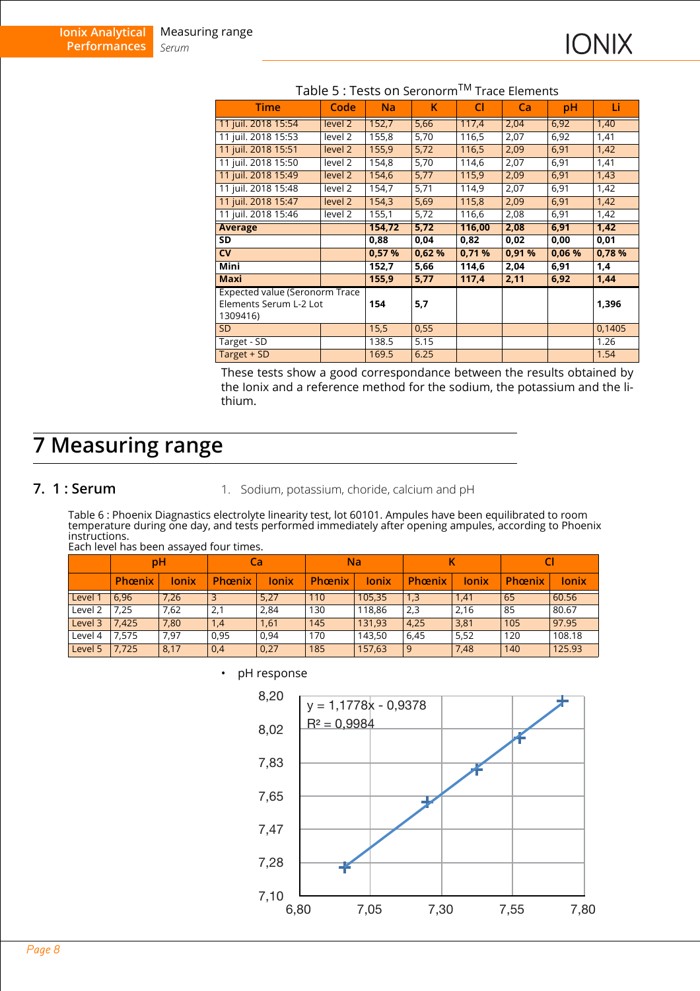| <b>Time</b>                                                          | Code               | <b>Na</b> | K     | <b>CI</b> | Ca    | pH    | Li     |
|----------------------------------------------------------------------|--------------------|-----------|-------|-----------|-------|-------|--------|
| 11 juil. 2018 15:54                                                  | level 2            | 152,7     | 5,66  | 117,4     | 2,04  | 6,92  | 1,40   |
| 11 juil. 2018 15:53                                                  | level 2            | 155,8     | 5,70  | 116,5     | 2,07  | 6,92  | 1,41   |
| 11 juil. 2018 15:51                                                  | level <sub>2</sub> | 155,9     | 5,72  | 116,5     | 2,09  | 6,91  | 1,42   |
| 11 juil. 2018 15:50                                                  | level 2            | 154,8     | 5,70  | 114,6     | 2,07  | 6,91  | 1,41   |
| 11 juil. 2018 15:49                                                  | level 2            | 154,6     | 5,77  | 115,9     | 2,09  | 6,91  | 1,43   |
| 11 juil. 2018 15:48                                                  | level 2            | 154,7     | 5,71  | 114,9     | 2,07  | 6,91  | 1,42   |
| 11 juil. 2018 15:47                                                  | level 2            | 154,3     | 5,69  | 115,8     | 2,09  | 6,91  | 1,42   |
| 11 juil. 2018 15:46                                                  | level 2            | 155,1     | 5,72  | 116,6     | 2,08  | 6,91  | 1,42   |
| Average                                                              |                    | 154,72    | 5,72  | 116,00    | 2,08  | 6,91  | 1,42   |
| SD                                                                   |                    | 0,88      | 0,04  | 0,82      | 0,02  | 0,00  | 0,01   |
| $\overline{\text{cv}}$                                               |                    | 0.57%     | 0,62% | 0.71%     | 0.91% | 0.06% | 0,78%  |
| <b>Mini</b>                                                          |                    | 152,7     | 5,66  | 114,6     | 2,04  | 6,91  | 1,4    |
| <b>Maxi</b>                                                          |                    | 155,9     | 5,77  | 117,4     | 2,11  | 6,92  | 1,44   |
| Expected value (Seronorm Trace<br>Elements Serum L-2 Lot<br>1309416) |                    | 154       | 5,7   |           |       |       | 1,396  |
| <b>SD</b>                                                            |                    | 15,5      | 0,55  |           |       |       | 0,1405 |
| Target - SD                                                          |                    | 138.5     | 5.15  |           |       |       | 1.26   |
| Target + SD                                                          |                    | 169.5     | 6.25  |           |       |       | 1.54   |

#### Table 5 : Tests on Seronorm™ Trace Elements

These tests show a good correspondance between the results obtained by the Ionix and a reference method for the sodium, the potassium and the lithium.

### <span id="page-7-0"></span>**7 Measuring range**

#### <span id="page-7-1"></span>**7. 1 : Serum** 1. Sodium, potassium, choride, calcium and pH

Table 6 : Phoenix Diagnastics electrolyte linearity test, lot 60101. Ampules have been equilibrated to room temperature during one day, and tests performed immediately after opening ampules, according to Phoenix instructions.

Each level has been assayed four times.

|         | рH            |       |               | Ca           | <b>Na</b> |        | Κ      |       |        |        |
|---------|---------------|-------|---------------|--------------|-----------|--------|--------|-------|--------|--------|
|         | <b>Phœnix</b> | lonix | <b>Phœnix</b> | <b>lonix</b> | Phœnix    | lonix  | Phœnix | lonix | Phœnix | lonix  |
| Level 1 | 6,96          | 7,26  |               | 5,27         | 110       | 105,35 | 1,3    | 1,41  | 65     | 60.56  |
| Level 2 | ,25           | 7,62  | 2,1           | 2,84         | 130       | 118,86 | 2,3    | 2,16  | 85     | 80.67  |
| Level 3 | .425          | 7,80  | 1,4           | 1,61         | 145       | 131,93 | 4,25   | 3,81  | 105    | 97.95  |
| Level 4 | 7.575         | 7,97  | 0,95          | 0,94         | 170       | 143,50 | 6,45   | 5,52  | 120    | 108.18 |
| Level 5 | 7,725         | 8,17  | 0,4           | 0,27         | 185       | 157,63 | 9      | 7,48  | 140    | 125.93 |



#### pH response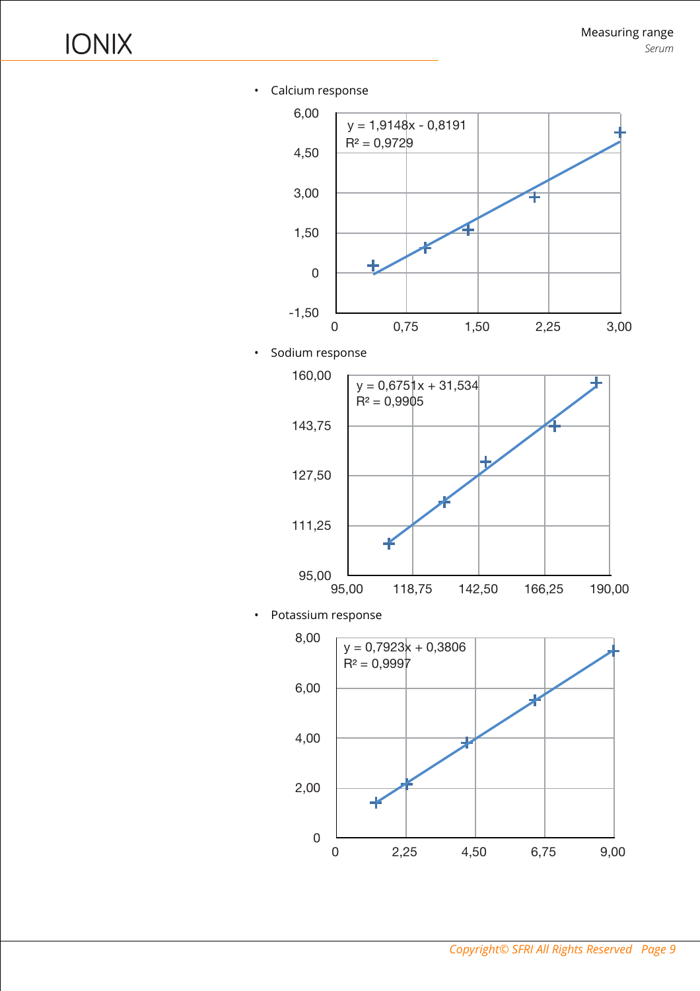• Calcium response



• Sodium response



• Potassium response

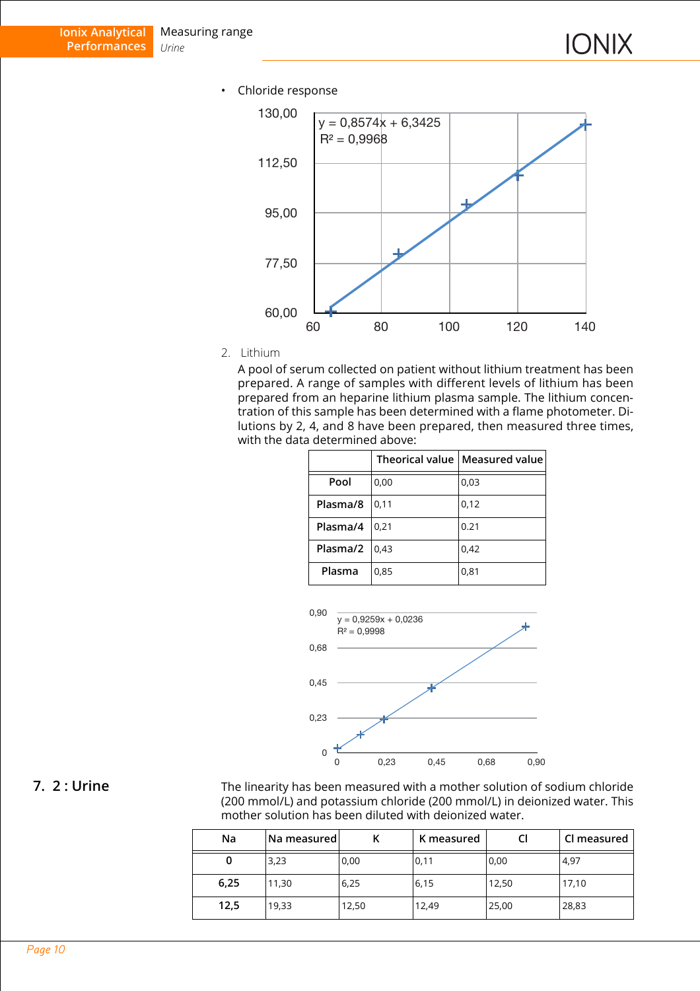• Chloride response



2. Lithium

A pool of serum collected on patient without lithium treatment has been prepared. A range of samples with different levels of lithium has been prepared from an heparine lithium plasma sample. The lithium concentration of this sample has been determined with a flame photometer. Dilutions by 2, 4, and 8 have been prepared, then measured three times, with the data determined above:

|          |      | Theorical value   Measured value |  |
|----------|------|----------------------------------|--|
| Pool     | 0,00 | 0,03                             |  |
| Plasma/8 | 0,11 | 0,12                             |  |
| Plasma/4 | 0,21 | 0.21                             |  |
| Plasma/2 | 0,43 | 0,42                             |  |
| Plasma   | 0,85 | 0,81                             |  |



<span id="page-9-0"></span>**7. 2 : Urine** The linearity has been measured with a mother solution of sodium chloride (200 mmol/L) and potassium chloride (200 mmol/L) in deionized water. This mother solution has been diluted with deionized water.

| Na   | Na measured |       | K measured |       | Cl measured |
|------|-------------|-------|------------|-------|-------------|
| U    | 3,23        | 0,00  | 0,11       | 0,00  | 4,97        |
| 6,25 | 11,30       | 6,25  | 6,15       | 12,50 | 17,10       |
| 12,5 | 19,33       | 12,50 | 12,49      | 25,00 | 28,83       |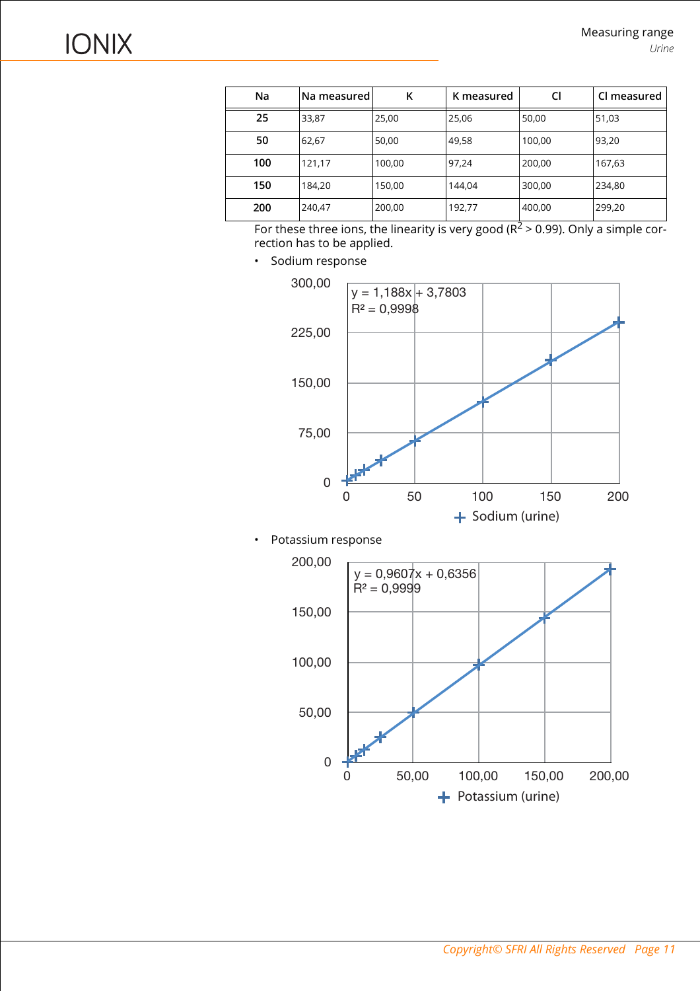| Na  | lNa measured | κ      | K measured | CI     | Cl measured |
|-----|--------------|--------|------------|--------|-------------|
| 25  | 33,87        | 25,00  | 25,06      | 50,00  | 51,03       |
| 50  | 62,67        | 50,00  | 49,58      | 100,00 | 93,20       |
| 100 | 121,17       | 100,00 | 97,24      | 200,00 | 167,63      |
| 150 | 184,20       | 150,00 | 144.04     | 300,00 | 234,80      |
| 200 | 240,47       | 200,00 | 192,77     | 400,00 | 299,20      |

For these three ions, the linearity is very good  $(R^2 > 0.99)$ . Only a simple correction has to be applied.

• Sodium response



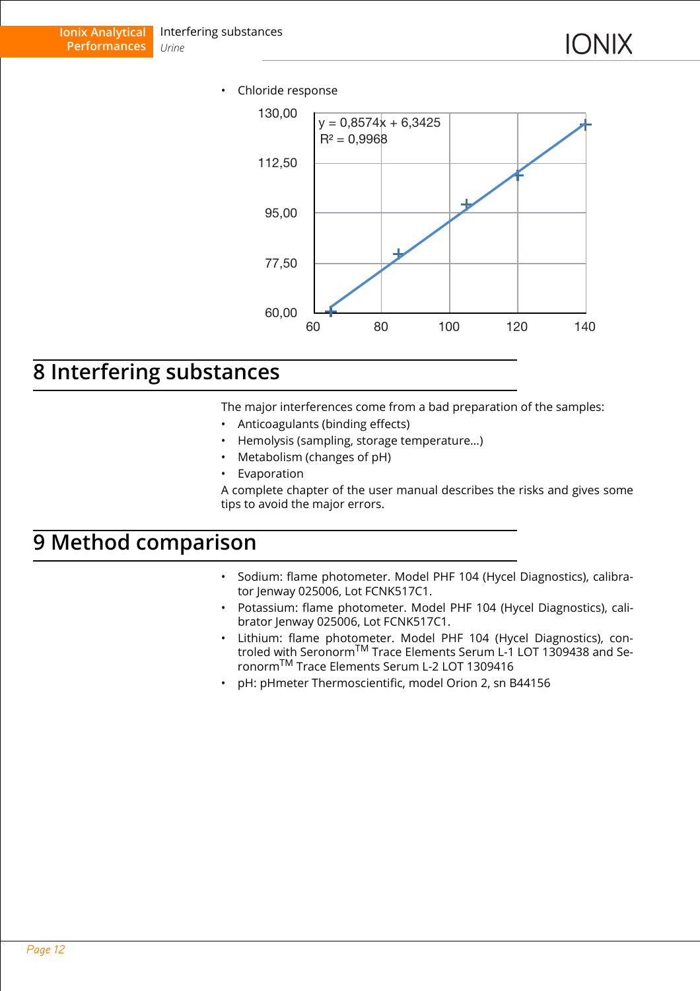• Chloride response



### <span id="page-11-0"></span>**8 Interfering substances**

The major interferences come from a bad preparation of the samples:

- Anticoagulants (binding effects)
- Hemolysis (sampling, storage temperature…)
- Metabolism (changes of pH)
- **Evaporation**

A complete chapter of the user manual describes the risks and gives some tips to avoid the major errors.

### <span id="page-11-1"></span>**9 Method comparison**

- Sodium: flame photometer. Model PHF 104 (Hycel Diagnostics), calibrator Jenway 025006, Lot FCNK517C1.
- Potassium: flame photometer. Model PHF 104 (Hycel Diagnostics), calibrator Jenway 025006, Lot FCNK517C1.
- Lithium: flame photometer. Model PHF 104 (Hycel Diagnostics), controled with SeronormTM Trace Elements Serum L-1 LOT 1309438 and SeronormTM Trace Elements Serum L-2 LOT 1309416
- pH: pHmeter Thermoscientific, model Orion 2, sn B44156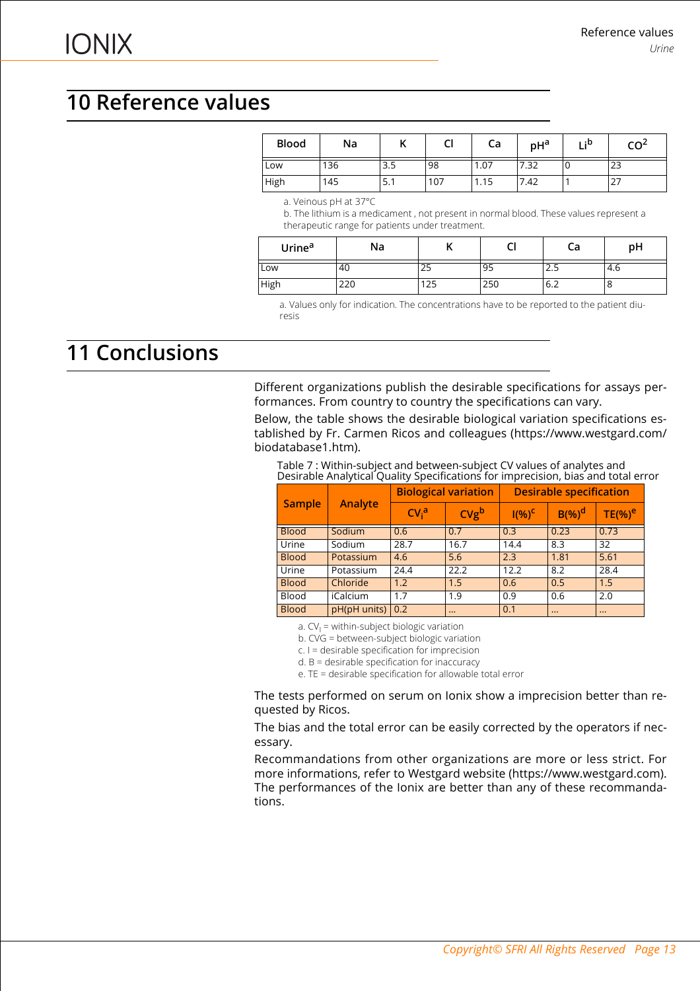# <span id="page-12-0"></span>**10 Reference values**

| <b>Blood</b> | Na  | .,  | $\mathbf{r}$<br>u | Сa   | pH <sup>a</sup> | u : p<br> | CO <sup>2</sup> |
|--------------|-----|-----|-------------------|------|-----------------|-----------|-----------------|
| Low          | 136 | 3.5 | 98                | 1.07 | 7.32            | U         | າາ<br>23        |
| <b>High</b>  | 145 | 5.1 | 107               | 1.15 | 7.42            |           | ، ے             |

a. Veinous pH at 37°C

b. The lithium is a medicament , not present in normal blood. These values represent a therapeutic range for patients under treatment.

| Urine <sup>a</sup> | Na  |    | -<br>ີ | Сa    | pH   |
|--------------------|-----|----|--------|-------|------|
| Low                | 40  | 25 | 95     | ر . ے | -4.6 |
| High               | 220 | 25 | 250    | 6.2   | O    |

a. Values only for indication. The concentrations have to be reported to the patient diuresis

# <span id="page-12-1"></span>**11 Conclusions**

Different organizations publish the desirable specifications for assays performances. From country to country the specifications can vary.

Below, the table shows the desirable biological variation specifications established by Fr. Carmen Ricos and colleagues (https://www.westgard.com/ biodatabase1.htm).

Table 7 : Within-subject and between-subject CV values of analytes and Desirable Analytical Quality Specifications for imprecision, bias and total error

| <b>Sample</b> |              | <b>Biological variation</b> |                  | <b>Desirable specification</b> |           |                    |
|---------------|--------------|-----------------------------|------------------|--------------------------------|-----------|--------------------|
|               | Analyte      | $CVi$ <sup>a</sup>          | CVg <sup>b</sup> | $I(%)^{C}$                     | $B(\%)^d$ | TE(%) <sup>e</sup> |
| <b>Blood</b>  | Sodium       | 0.6                         |                  | 0.3                            | 0.23      | 0.73               |
| Urine         | Sodium       | 28.7                        | 16.7             | 14.4                           | 8.3       | 32                 |
| <b>Blood</b>  | Potassium    | 4.6                         | 5.6              | 2.3                            | 1.81      | 5.61               |
| Urine         | Potassium    | 24.4                        | 22.2             | 12.2                           | 8.2       | 28.4               |
| <b>Blood</b>  | Chloride     | 1.2                         | 1.5              | 0.6                            | 0.5       | 1.5                |
| <b>Blood</b>  | iCalcium     | 1.7                         | 1.9              | 0.9                            | 0.6       | 2.0                |
| <b>Blood</b>  | pH(pH units) | $\vert 0.2 \vert$           | $\cdots$         | 0.1                            |           | $\cdots$           |

a. CV<sub>I</sub> = within-subject biologic variation

b. CVG = between-subject biologic variation

c. I = desirable specification for imprecision

d. B = desirable specification for inaccuracy

e. TE = desirable specification for allowable total error

The tests performed on serum on Ionix show a imprecision better than requested by Ricos.

The bias and the total error can be easily corrected by the operators if necessary.

Recommandations from other organizations are more or less strict. For more informations, refer to Westgard website (https://www.westgard.com). The performances of the Ionix are better than any of these recommandations.